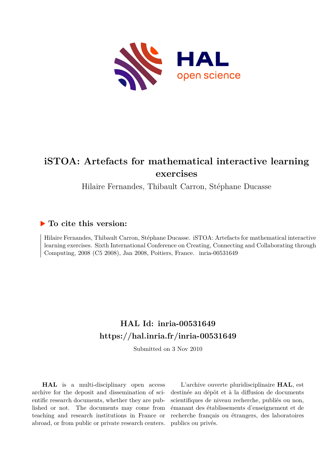

# **iSTOA: Artefacts for mathematical interactive learning exercises**

Hilaire Fernandes, Thibault Carron, Stéphane Ducasse

## **To cite this version:**

Hilaire Fernandes, Thibault Carron, Stéphane Ducasse. iSTOA: Artefacts for mathematical interactive learning exercises. Sixth International Conference on Creating, Connecting and Collaborating through Computing, 2008 (C5 2008), Jan 2008, Poitiers, France. inria-00531649

## **HAL Id: inria-00531649 <https://hal.inria.fr/inria-00531649>**

Submitted on 3 Nov 2010

**HAL** is a multi-disciplinary open access archive for the deposit and dissemination of scientific research documents, whether they are published or not. The documents may come from teaching and research institutions in France or abroad, or from public or private research centers.

L'archive ouverte pluridisciplinaire **HAL**, est destinée au dépôt et à la diffusion de documents scientifiques de niveau recherche, publiés ou non, émanant des établissements d'enseignement et de recherche français ou étrangers, des laboratoires publics ou privés.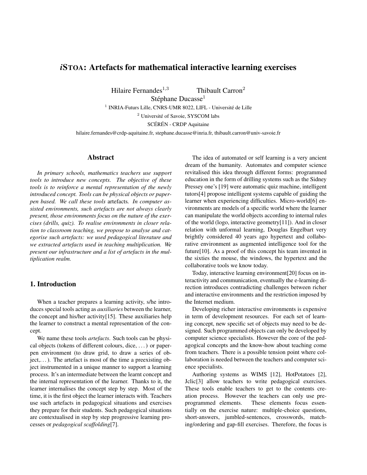### *i*STOA: Artefacts for mathematical interactive learning exercises

Hilaire Fernandes<sup>1,3</sup> Thibault Carron<sup>2</sup>

Stéphane Ducasse<sup>1</sup>

<sup>1</sup> INRIA-Futurs Lille, CNRS-UMR 8022, LIFL - Université de Lille

<sup>2</sup> Université of Savoie, SYSCOM labs

SCÉRÉN - CRDP Aquitaine

hilaire.fernandes@crdp-aquitaine.fr, stephane.ducasse@inria.fr, thibault.carron@univ-savoie.fr

#### Abstract

*In primary schools, mathematics teachers use support tools to introduce new concepts. The objective of these tools is to reinforce a mental representation of the newly introduced concept. Tools can be physical objects or paperpen based. We call these tools* artefacts*. In computer assisted environments, such artefacts are not always clearly present, those environments focus on the nature of the exercises (drills, quiz). To realise environments in closer relation to classroom teaching, we propose to analyse and categorise such artefacts: we used pedagogical literature and we extracted artefacts used in teaching multiplication. We present our infrastructure and a list of artefacts in the multiplication realm.*

#### 1. Introduction

When a teacher prepares a learning activity, s/he introduces special tools acting as *auxiliaries* between the learner, the concept and his/her activity[15]. These auxiliaries help the learner to construct a mental representation of the concept.

We name these tools *artefacts*. Such tools can be physical objects (tokens of different colours, dice, . . . ) or paperpen environment (to draw grid, to draw a series of ob $ject, \ldots$ ). The artefact is most of the time a preexisting object instrumented in a unique manner to support a learning process. It's an intermediate between the learnt concept and the internal representation of the learner. Thanks to it, the learner internalises the concept step by step. Most of the time, it is the first object the learner interacts with. Teachers use such artefacts in pedagogical situations and exercises they prepare for their students. Such pedagogical situations are contextualised in step by step progressive learning processes or *pedagogical scaffolding*[7].

The idea of automated or self learning is a very ancient dream of the humanity. Automates and computer science revitalised this idea through different forms: programmed education in the form of drilling systems such as the Sidney Pressey one's [19] were automatic quiz machine, intelligent tutors[4] propose intelligent systems capable of guiding the learner when experiencing difficulties. Micro-world[6] environments are models of a specific world where the learner can manipulate the world objects according to internal rules of the world (logo, interactive geometry[11]). And in closer relation with unformal learning, Douglas Engelbart very brightly considered 40 years ago hypertext and collaborative environment as augmented intelligence tool for the future[10]. As a proof of this concept his team invented in the sixties the mouse, the windows, the hypertext and the collaborative tools we know today.

Today, interactive learning environment[20] focus on interactivity and communication, eventually the e-learning direction introduces contradicting challenges between richer and interactive environments and the restriction imposed by the Internet medium.

Developing richer interactive environments is expensive in term of development resources. For each set of learning concept, new specific set of objects may need to be designed. Such programmed objects can only be developed by computer science specialists. However the core of the pedagogical concepts and the know-how about teaching come from teachers. There is a possible tension point where collaboration is needed between the teachers and computer science specialists.

Authoring systems as WIMS [12], HotPotatoes [2], Jclic[3] allow teachers to write pedagogical exercises. These tools enable teachers to get to the contents creation process. However the teachers can only use preprogrammed elements. These elements focus essentially on the exercise nature: multiple-choice questions, short-answers, jumbled-sentences, crosswords, matching/ordering and gap-fill exercises. Therefore, the focus is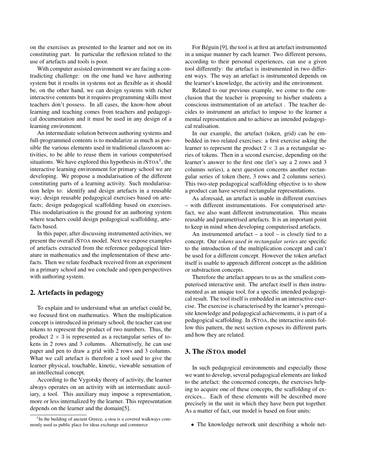on the exercises as presented to the learner and not on its constituting part. In particular the reflexion related to the use of artefacts and tools is poor.

With computer assisted environment we are facing a contradicting challenge: on the one hand we have authoring system but it results in systems not as flexible as it should be, on the other hand, we can design systems with richer interactive contents but it requires programming skills most teachers don't possess. In all cases, the know-how about learning and teaching comes from teachers and pedagogical documentation and it must be used in any design of a learning environment.

An intermediate solution between authoring systems and full-programmed contents is to modularize as much as possible the various elements used in traditional classroom activities, to be able to reuse them in various computerised situations. We have explored this hypothesis in  $i$ STOA<sup>1</sup>, the interactive learning environment for primary school we are developing. We propose a modularisation of the different constituting parts of a learning activity. Such modularisation helps to: identify and design artefacts in a reusable way; design reusable pedagogical exercises based on artefacts; design pedagogical scaffolding based on exercises. This modularisation is the ground for an authoring system where teachers could design pedagogical scaffolding, artefacts based.

In this paper, after discussing instrumented activities, we present the overall *i*STOA model. Next we expose examples of artefacts extracted from the reference pedagogical literature in mathematics and the implementation of these artefacts. Then we relate feedback received from an experiment in a primary school and we conclude and open perspectives with authoring system.

#### 2. Artefacts in pedagogy

To explain and to understand what an artefact could be, we focused first on mathematics. When the multiplication concept is introduced in primary school, the teacher can use tokens to represent the product of two numbers. Thus, the product  $2 \times 3$  is represented as a rectangular series of tokens in 2 rows and 3 columns. Alternatively, he can use paper and pen to draw a grid with 2 rows and 3 columns. What we call artefact is therefore a tool used to give the learner physical, touchable, kinetic, viewable sensation of an intellectual concept.

According to the Vygotsky theory of activity, the learner always operates on an activity with an intermediate auxiliary, a tool. This auxiliary may impose a representation, more or less internalized by the learner. This representation depends on the learner and the domain[5].

For Béguin [9], the tool is at first an artefact instrumented in a unique manner by each learner. Two different persons, according to their personal experiences, can use a given tool differently: the artefact is instrumented in two different ways. The way an artefact is instrumented depends on the learner's knowledge, the activity and the environment.

Related to our previous example, we come to the conclusion that the teacher is proposing to his/her students a conscious instrumentation of an artefact . The teacher decides to instrument an artefact to impose to the learner a mental representation and to achieve an intended pedagogical realisation.

In our example, the artefact (token, grid) can be embedded in two related exercises: a first exercise asking the learner to represent the product  $2 \times 3$  as a rectangular series of tokens. Then in a second exercise, depending on the learner's answer to the first one (let's say a 2 rows and 3 columns series), a next question concerns another rectangular series of token (here, 3 rows and 2 columns series). This two-step pedagogical scaffolding objective is to show a product can have several rectangular representations.

As aforesaid, an artefact is usable in different exercises – with different instrumentations. For computerised artefact, we also want different instrumentation. This means reusable and parametrised artefacts. It is an important point to keep in mind when developing computerised artefacts.

An instrumented artefact  $-$  a tool  $-$  is closely tied to a concept. Our *tokens used in rectangular series* are specific to the introduction of the multiplication concept and can't be used for a different concept. However the token artefact itself is usable to approach different concept as the addition or substraction concepts.

Therefore the artefact appears to us as the smallest computerised interactive unit. The artefact itself is then instrumented as an unique tool, for a specific intended pedagogical result. The tool itself is embedded in an interactive exercise. The exercise is characterised by the learner's prerequisite knowledge and pedagogical achievements, it is part of a pedagogical scaffolding. In *i*STOA, the interactive units follow this pattern, the next section exposes its different parts and how they are related.

#### 3. The *i*STOA model

In such pedagogical environments and especially those we want to develop, several pedagogical elements are linked to the artefact: the concerned concepts, the exercises helping to acquire one of these concepts, the scaffolding of exercices... Each of these elements will be described more precisely in the unit in which they have been put together. As a matter of fact, our model is based on four units:

• The knowledge network unit describing a whole net-

<sup>&</sup>lt;sup>1</sup>In the building of ancient Greece, a stoa is a covered walkways commonly used as public place for ideas exchange and commerce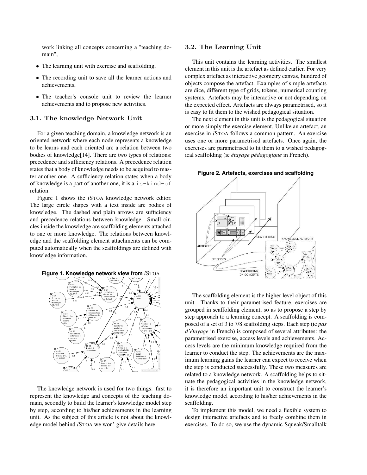work linking all concepts concerning a "teaching domain",

- The learning unit with exercise and scaffolding,
- The recording unit to save all the learner actions and achievements,
- The teacher's console unit to review the learner achievements and to propose new activities.

#### 3.1. The knowledge Network Unit

For a given teaching domain, a knowledge network is an oriented network where each node represents a knowledge to be learns and each oriented arc a relation between two bodies of knowledge[14]. There are two types of relations: precedence and sufficiency relations. A precedence relation states that a body of knowledge needs to be acquired to master another one. A sufficiency relation states when a body of knowledge is a part of another one, it is a is-kind-of relation.

Figure 1 shows the *i*STOA knowledge network editor. The large circle shapes with a text inside are bodies of knowledge. The dashed and plain arrows are sufficiency and precedence relations between knowledge. Small circles inside the knowledge are scaffolding elements attached to one or more knowledge. The relations between knowledge and the scaffolding element attachments can be computed automatically when the scaffoldings are defined with knowledge information.





The knowledge network is used for two things: first to represent the knowledge and concepts of the teaching domain, secondly to build the learner's knowledge model step by step, according to his/her achievements in the learning unit. As the subject of this article is not about the knowledge model behind *i*STOA we won' give details here.

#### 3.2. The Learning Unit

This unit contains the learning activities. The smallest element in this unit is the artefact as defined earlier. For very complex artefact as interactive geometry canvas, hundred of objects compose the artefact. Examples of simple artefacts are dice, different type of grids, tokens, numerical counting systems. Artefacts may be interactive or not depending on the expected effect. Artefacts are always parametrised, so it is easy to fit them to the wished pedagogical situation.

The next element in this unit is the pedagogical situation or more simply the exercise element. Unlike an artefact, an exercise in *i*STOA follows a common pattern. An exercise uses one or more parametrised artefacts. Once again, the exercises are parametrised to fit them to a wished pedagogical scaffolding (ie *étayage pédagogique* in French).





The scaffolding element is the higher level object of this unit. Thanks to their parametrised feature, exercises are grouped in scaffolding element, so as to propose a step by step approach to a learning concept. A scaffolding is composed of a set of 3 to 7/8 scaffolding steps. Each step (ie *pas d'étayage* in French) is composed of several attributes: the parametrised exercise, access levels and achievements. Access levels are the minimum knowledge required from the learner to conduct the step. The achievements are the maximum learning gains the learner can expect to receive when the step is conducted successfully. These two measures are related to a knowledge network. A scaffolding helps to situate the pedagogical activities in the knowledge network, it is therefore an important unit to construct the learner's knowledge model according to his/her achievements in the scaffolding.

To implement this model, we need a flexible system to design interactive artefacts and to freely combine them in exercises. To do so, we use the dynamic Squeak/Smalltalk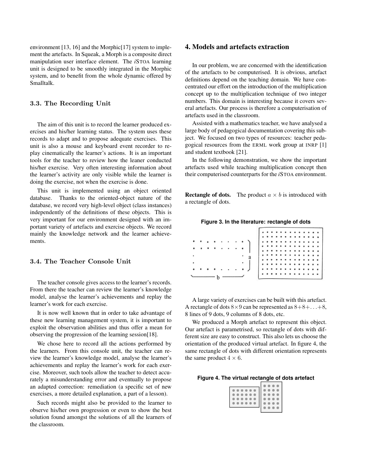environment [13, 16] and the Morphic<sup>[17]</sup> system to implement the artefacts. In Squeak, a Morph is a composite direct manipulation user interface element. The *i*STOA learning unit is designed to be smoothly integrated in the Morphic system, and to benefit from the whole dynamic offered by Smalltalk.

#### 3.3. The Recording Unit

The aim of this unit is to record the learner produced exercises and his/her learning status. The system uses these records to adapt and to propose adequate exercises. This unit is also a mouse and keyboard event recorder to replay cinematically the learner's actions. It is an important tools for the teacher to review how the leaner conducted his/her exercise. Very often interesting information about the learner's activity are only visible while the learner is doing the exercise, not when the exercise is done.

This unit is implemented using an object oriented database. Thanks to the oriented-object nature of the database, we record very high-level object (class instances) independently of the definitions of these objects. This is very important for our environment designed with an important variety of artefacts and exercise objects. We record mainly the knowledge network and the learner achievements.

#### 3.4. The Teacher Console Unit

The teacher console gives access to the learner's records. From there the teacher can review the learner's knowledge model, analyse the learner's achievements and replay the learner's work for each exercise.

It is now well known that in order to take advantage of these new learning management system, it is important to exploit the observation abilities and thus offer a mean for observing the progression of the learning session[18].

We chose here to record all the actions performed by the learners. From this console unit, the teacher can review the learner's knowledge model, analyse the learner's achievements and replay the learner's work for each exercise. Moreover, such tools allow the teacher to detect accurately a misunderstanding error and eventually to propose an adapted correction: remediation (a specific set of new exercises, a more detailed explanation, a part of a lesson).

Such records might also be provided to the learner to observe his/her own progression or even to show the best solution found amongst the solutions of all the learners of the classroom.

### 4. Models and artefacts extraction

In our problem, we are concerned with the identification of the artefacts to be computerised. It is obvious, artefact definitions depend on the teaching domain. We have concentrated our effort on the introduction of the multiplication concept up to the multiplication technique of two integer numbers. This domain is interesting because it covers several artefacts. Our process is therefore a computerisation of artefacts used in the classroom.

Assisted with a mathematics teacher, we have analysed a large body of pedagogical documentation covering this subject. We focused on two types of resources: teacher pedagogical resources from the ERML work group at INRP [1] and student textbook [21].

In the following demonstration, we show the important artefacts used while teaching multiplication concept then their computerised counterparts for the *i*STOA environment.

**Rectangle of dots.** The product  $a \times b$  is introduced with a rectangle of dots.

|  |  | Figure 3. In the literature: rectangle of dots |  |  |  |
|--|--|------------------------------------------------|--|--|--|
|--|--|------------------------------------------------|--|--|--|

|  |  |  |           |           |  |                                                                                                       |  |   |           | $\begin{array}{cccccccc}\n\bullet & \bullet & \bullet & \bullet & \bullet \\ \end{array}$             |  |
|--|--|--|-----------|-----------|--|-------------------------------------------------------------------------------------------------------|--|---|-----------|-------------------------------------------------------------------------------------------------------|--|
|  |  |  |           |           |  | $\begin{array}{cccccccccccccc} \bullet & \bullet & \bullet & \bullet & \bullet & \bullet \end{array}$ |  |   |           | $0$ 0 0                                                                                               |  |
|  |  |  |           | $\bullet$ |  |                                                                                                       |  |   |           |                                                                                                       |  |
|  |  |  |           |           |  |                                                                                                       |  |   | $\bullet$ | 0 <sub>0</sub>                                                                                        |  |
|  |  |  |           |           |  |                                                                                                       |  |   |           | $\begin{array}{cccccccccccccc} \bullet & \bullet & \bullet & \bullet & \bullet & \bullet \end{array}$ |  |
|  |  |  | ٠         |           |  |                                                                                                       |  |   |           | $\begin{array}{cccccccccccccc} 0 & 0 & 0 & 0 & 0 \end{array}$                                         |  |
|  |  |  |           |           |  |                                                                                                       |  |   |           | $0$ $0$ $0$                                                                                           |  |
|  |  |  | $\bullet$ | $\bullet$ |  |                                                                                                       |  | . |           |                                                                                                       |  |
|  |  |  |           |           |  | $\begin{array}{ccccccccccccccccc} 0 & 0 & 0 & 0 & 0 & 0 & 0 & 0 & 0 \\ \end{array}$                   |  |   |           |                                                                                                       |  |
|  |  |  |           |           |  |                                                                                                       |  |   |           |                                                                                                       |  |

A large variety of exercises can be built with this artefact. A rectangle of dots  $8 \times 9$  can be represented as  $8+8+\ldots+8$ , 8 lines of 9 dots, 9 columns of 8 dots, etc.

We produced a Morph artefact to represent this object. Our artefact is parametrised, so rectangle of dots with different size are easy to construct. This also lets us choose the orientation of the produced virtual artefact. In figure 4, the same rectangle of dots with different orientation represents the same product  $4 \times 6$ .

|  | Figure 4. The virtual rectangle of dots artefact |  |  |  |
|--|--------------------------------------------------|--|--|--|
|--|--------------------------------------------------|--|--|--|

| - 60 |
|------|
|      |
|      |
|      |
|      |
|      |
|      |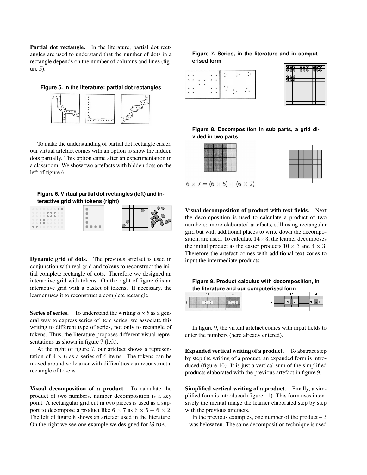Partial dot rectangle. In the literature, partial dot rectangles are used to understand that the number of dots in a rectangle depends on the number of columns and lines (figure 5).

**Figure 5. In the literature: partial dot rectangles**



To make the understanding of partial dot rectangle easier, our virtual artefact comes with an option to show the hidden dots partially. This option came after an experimentation in a classroom. We show two artefacts with hidden dots on the left of figure 6.

**Figure 6. Virtual partial dot rectangles (left) and interactive grid with tokens (right)**



Dynamic grid of dots. The previous artefact is used in conjunction with real grid and tokens to reconstruct the initial complete rectangle of dots. Therefore we designed an interactive grid with tokens. On the right of figure 6 is an interactive grid with a basket of tokens. If necessary, the learner uses it to reconstruct a complete rectangle.

**Series of series.** To understand the writing  $a \times b$  as a general way to express series of item series, we associate this writing to different type of series, not only to rectangle of tokens. Thus, the literature proposes different visual representations as shown in figure 7 (left).

At the right of figure 7, our artefact shows a representation of  $4 \times 6$  as a series of 6-items. The tokens can be moved around so learner with difficulties can reconstruct a rectangle of tokens.

Visual decomposition of a product. To calculate the product of two numbers, number decomposition is a key point. A rectangular grid cut in two pieces is used as a support to decompose a product like  $6 \times 7$  as  $6 \times 5 + 6 \times 2$ . The left of figure 8 shows an artefact used in the literature. On the right we see one example we designed for *i*STOA.

#### **Figure 7. Series, in the literature and in computerised form**  $\overline{ }$

|  |  |  | ٠ |  |                       |  |
|--|--|--|---|--|-----------------------|--|
|  |  |  |   |  | $\bullet\quad\bullet$ |  |
|  |  |  |   |  |                       |  |
|  |  |  |   |  |                       |  |
|  |  |  |   |  |                       |  |

**Figure 8. Decomposition in sub parts, a grid divided in two parts**

 $6 \times 7 = (6 \times 5) + (6 \times 2)$ 

Visual decomposition of product with text fields. Next the decomposition is used to calculate a product of two numbers: more elaborated artefacts, still using rectangular grid but with additional places to write down the decomposition, are used. To calculate  $14 \times 3$ , the learner decomposes the initial product as the easier products  $10 \times 3$  and  $4 \times 3$ . Therefore the artefact comes with additional text zones to input the intermediate products.



| _ |  |
|---|--|
|   |  |

In figure 9, the virtual artefact comes with input fields to enter the numbers (here already entered).

Expanded vertical writing of a product. To abstract step by step the writing of a product, an expanded form is introduced (figure 10). It is just a vertical sum of the simplified products elaborated with the previous artefact in figure 9.

Simplified vertical writing of a product. Finally, a simplified form is introduced (figure 11). This form uses intensively the mental image the learner elaborated step by step with the previous artefacts.

In the previous examples, one number of the product  $-3$ – was below ten. The same decomposition technique is used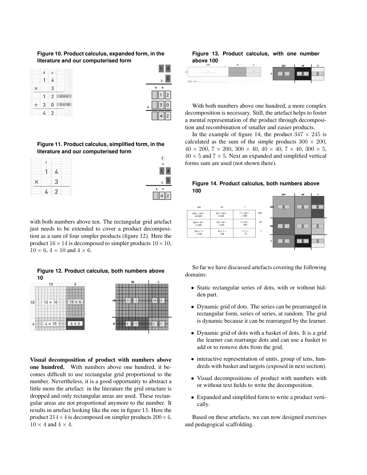#### **Figure 10. Product calculus, expanded form, in the literature and our computerised form**



**Figure 11. Product calculus, simplified form, in the literature and our computerised form**



with both numbers above ten. The rectangular grid artefact just needs to be extended to cover a product decomposition as a sum of four simpler products (figure 12). Here the product  $16 \times 14$  is decomposed to simpler products  $10 \times 10$ ,  $10 \times 6$ ,  $4 \times 10$  and  $4 \times 6$ .

**Figure 12. Product calculus, both numbers above 10**



Visual decomposition of product with numbers above one hundred. With numbers above one hundred, it becomes difficult to use rectangular grid proportional to the number. Nevertheless, it is a good opportunity to abstract a little more the artefact: in the literature the grid structure is dropped and only rectangular areas are used. These rectangular areas are not proportional anymore to the number. It results in artefact looking like the one in figure 13. Here the product  $214 \times 4$  is decomposed on simpler products  $200 \times 4$ ,  $10 \times 4$  and  $4 \times 4$ .

#### **Figure 13. Product calculus, with one number above 100**

|                             |  | 200 | 10 |  |
|-----------------------------|--|-----|----|--|
| <b>CONTRACTOR</b> CONTRACTO |  |     |    |  |
|                             |  |     |    |  |

With both numbers above one hundred, a more complex decomposition is necessary. Still, the artefact helps to foster a mental representation of the product through decomposition and recombination of smaller and easier products.

In the example of figure 14, the product  $347 \times 245$  is calculated as the sum of the simple products  $300 \times 200$ ,  $40 \times 200$ ,  $7 \times 200$ ,  $300 \times 40$ ,  $40 \times 40$ ,  $7 \times 40$ ,  $300 \times 5$ ,  $40 \times 5$  and  $7 \times 5$ . Next an expanded and simplified vertical forms sum are used (not shown there).



| 30 <sub>U</sub>              | 40                           | 7                        |     | <b>200</b> | $\boldsymbol{\mathsf{x}}$ |                         |                 |  |
|------------------------------|------------------------------|--------------------------|-----|------------|---------------------------|-------------------------|-----------------|--|
| $300 \times 200 =$<br>60 000 | $40 \times 200 =$<br>8 0 0 0 | $7 \times 200 =$<br>1400 | 200 |            |                           |                         |                 |  |
| $300 \times 40 =$<br>12 000  | $40 \times 40 =$<br>1600     | $7 \times 40 =$<br>280   | 40  | 40         |                           | $\overline{\mathbf{v}}$ | $\vert x \vert$ |  |
| $300 \times 5 =$<br>1500     | $40 \times 5 =$<br>200       | $7 \times 5 =$<br>35     | 5   |            |                           |                         |                 |  |
|                              |                              |                          |     | 5          |                           |                         |                 |  |

So far we have discussed artefacts covering the following domains:

- Static rectangular series of dots, with or without hidden part.
- Dynamic grid of dots. The series can be prearranged in rectangular form, series of series, at random. The grid is dynamic because it can be rearranged by the learner.
- Dynamic grid of dots with a basket of dots. It is a grid the learner can rearrange dots and can use a basket to add or to remove dots from the grid.
- interactive representation of units, group of tens, hundreds with basket and targets (exposed in next section).
- Visual decompositions of product with numbers with or without text fields to write the decomposition.
- Expanded and simplified form to write a product vertically.

Based on these artefacts, we can now designed exercises and pedagogical scaffolding.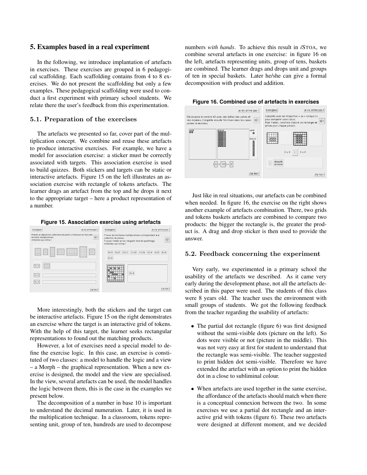#### 5. Examples based in a real experiment

In the following, we introduce implantation of artefacts in exercises. These exercises are grouped in 6 pedagogical scaffolding. Each scaffolding contains from 4 to 8 exercises. We do not present the scaffolding but only a few examples. These pedagogical scaffolding were used to conduct a first experiment with primary school students. We relate there the user's feedback from this experimentation.

#### 5.1. Preparation of the exercises

The artefacts we presented so far, cover part of the multiplication concept. We combine and reuse these artefacts to produce interactive exercises. For example, we have a model for association exercise: a sticker must be correctly associated with targets. This association exercise is used to build quizzes. Both stickers and targets can be static or interactive artefacts. Figure 15 on the left illustrates an association exercise with rectangle of tokens artefacts. The learner drags an artefact from the top and he drops it next to the appropriate target – here a product representation of a number.





More interestingly, both the stickers and the target can be interactive artefacts. Figure 15 on the right demonstrates an exercise where the target is an interactive grid of tokens. With the help of this target, the learner seeks rectangular representations to found out the matching products.

However, a lot of exercises need a special model to define the exercise logic. In this case, an exercise is constituted of two classes: a model to handle the logic and a view – a Morph – the graphical representation. When a new exercise is designed, the model and the view are specialised. In the view, several artefacts can be used, the model handles the logic between them, this is the case in the examples we present below.

The decomposition of a number in base 10 is important to understand the decimal numeration. Later, it is used in the multiplication technique. In a classroom, tokens representing unit, group of ten, hundreds are used to decompose numbers *with hands*. To achieve this result in *i*STOA, we combine several artefacts in one exercise: in figure 16 on the left, artefacts representing units, group of tens, baskets are combined. The learner drags and drops unit and groups of ten in special baskets. Later he/she can give a formal decomposition with product and addition.





Just like in real situations, our artefacts can be combined when needed. In figure 16, the exercise on the right shows another example of artefacts combination. There, two grids and tokens baskets artefacts are combined to compare two products: the bigger the rectangle is, the greater the product is. A drag and drop sticker is then used to provide the answer.

#### 5.2. Feedback concerning the experiment

Very early, we experimented in a primary school the usability of the artefacts we described. As it came very early during the development phase, not all the artefacts described in this paper were used. The students of this class were 8 years old. The teacher uses the environment with small groups of students. We got the following feedback from the teacher regarding the usability of artefacts:

- The partial dot rectangle (figure 6) was first designed without the semi-visible dots (picture on the left). So dots were visible or not (picture in the middle). This was not very easy at first for student to understand that the rectangle was semi-visible. The teacher suggested to print hidden dot semi-visible. Therefore we have extended the artefact with an option to print the hidden dot in a close to subliminal colour.
- When artefacts are used together in the same exercise, the affordance of the artefacts should match when there is a conceptual connexion between the two. In some exercises we use a partial dot rectangle and an interactive grid with tokens (figure 6). These two artefacts were designed at different moment, and we decided